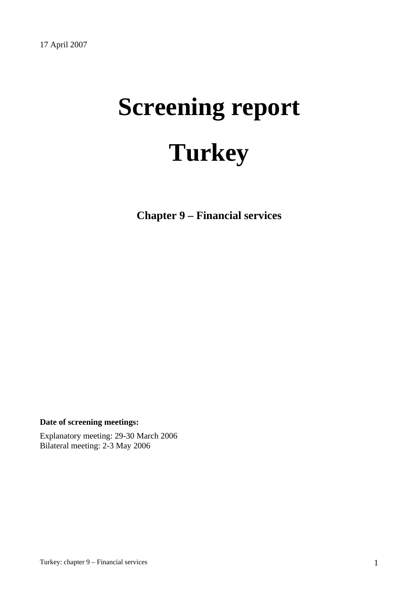# **Screening report Turkey**

**Chapter 9 – Financial services** 

**Date of screening meetings:**

Explanatory meeting: 29-30 March 2006 Bilateral meeting: 2-3 May 2006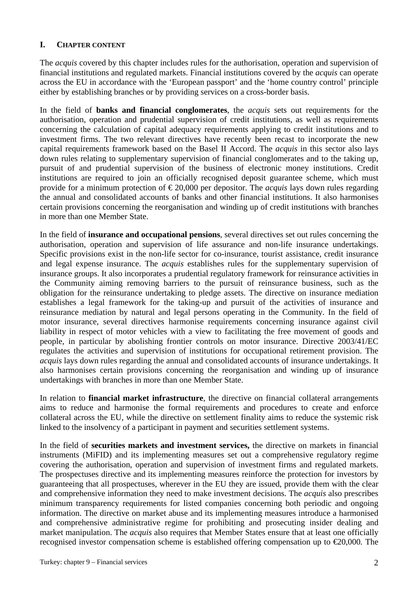## **I. CHAPTER CONTENT**

The *acquis* covered by this chapter includes rules for the authorisation, operation and supervision of financial institutions and regulated markets. Financial institutions covered by the *acquis* can operate across the EU in accordance with the 'European passport' and the 'home country control' principle either by establishing branches or by providing services on a cross-border basis.

In the field of **banks and financial conglomerates**, the *acquis* sets out requirements for the authorisation, operation and prudential supervision of credit institutions, as well as requirements concerning the calculation of capital adequacy requirements applying to credit institutions and to investment firms. The two relevant directives have recently been recast to incorporate the new capital requirements framework based on the Basel II Accord. The *acquis* in this sector also lays down rules relating to supplementary supervision of financial conglomerates and to the taking up, pursuit of and prudential supervision of the business of electronic money institutions. Credit institutions are required to join an officially recognised deposit guarantee scheme, which must provide for a minimum protection of  $\epsilon$ 20,000 per depositor. The *acquis* lays down rules regarding the annual and consolidated accounts of banks and other financial institutions. It also harmonises certain provisions concerning the reorganisation and winding up of credit institutions with branches in more than one Member State.

In the field of **insurance and occupational pensions**, several directives set out rules concerning the authorisation, operation and supervision of life assurance and non-life insurance undertakings. Specific provisions exist in the non-life sector for co-insurance, tourist assistance, credit insurance and legal expense insurance. The *acquis* establishes rules for the supplementary supervision of insurance groups. It also incorporates a prudential regulatory framework for reinsurance activities in the Community aiming removing barriers to the pursuit of reinsurance business, such as the obligation for the reinsurance undertaking to pledge assets. The directive on insurance mediation establishes a legal framework for the taking-up and pursuit of the activities of insurance and reinsurance mediation by natural and legal persons operating in the Community. In the field of motor insurance, several directives harmonise requirements concerning insurance against civil liability in respect of motor vehicles with a view to facilitating the free movement of goods and people, in particular by abolishing frontier controls on motor insurance. Directive 2003/41/EC regulates the activities and supervision of institutions for occupational retirement provision. The *acquis* lays down rules regarding the annual and consolidated accounts of insurance undertakings. It also harmonises certain provisions concerning the reorganisation and winding up of insurance undertakings with branches in more than one Member State.

In relation to **financial market infrastructure**, the directive on financial collateral arrangements aims to reduce and harmonise the formal requirements and procedures to create and enforce collateral across the EU, while the directive on settlement finality aims to reduce the systemic risk linked to the insolvency of a participant in payment and securities settlement systems.

In the field of **securities markets and investment services,** the directive on markets in financial instruments (MiFID) and its implementing measures set out a comprehensive regulatory regime covering the authorisation, operation and supervision of investment firms and regulated markets. The prospectuses directive and its implementing measures reinforce the protection for investors by guaranteeing that all prospectuses, wherever in the EU they are issued, provide them with the clear and comprehensive information they need to make investment decisions. The *acquis* also prescribes minimum transparency requirements for listed companies concerning both periodic and ongoing information. The directive on market abuse and its implementing measures introduce a harmonised and comprehensive administrative regime for prohibiting and prosecuting insider dealing and market manipulation. The *acquis* also requires that Member States ensure that at least one officially recognised investor compensation scheme is established offering compensation up to €20,000*.* The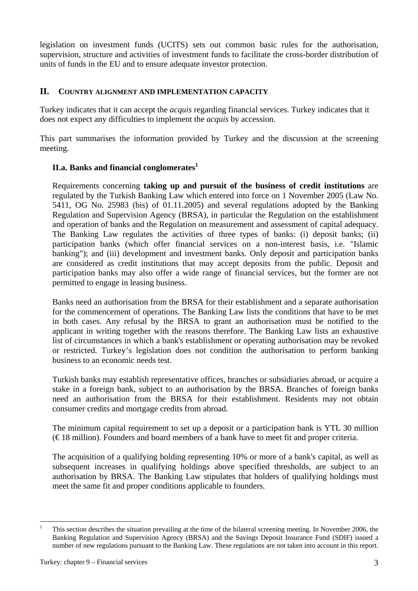legislation on investment funds (UCITS) sets out common basic rules for the authorisation, supervision, structure and activities of investment funds to facilitate the cross-border distribution of units of funds in the EU and to ensure adequate investor protection.

## **II. COUNTRY ALIGNMENT AND IMPLEMENTATION CAPACITY**

Turkey indicates that it can accept the *acquis* regarding financial services. Turkey indicates that it does not expect any difficulties to implement the *acquis* by accession.

This part summarises the information provided by Turkey and the discussion at the screening meeting.

## **II.a. Banks and financial conglomerates**<sup>1</sup>

Requirements concerning **taking up and pursuit of the business of credit institutions** are regulated by the Turkish Banking Law which entered into force on 1 November 2005 (Law No. 5411, OG No. 25983 (bis) of 01.11.2005) and several regulations adopted by the Banking Regulation and Supervision Agency (BRSA), in particular the Regulation on the establishment and operation of banks and the Regulation on measurement and assessment of capital adequacy. The Banking Law regulates the activities of three types of banks: (i) deposit banks; (ii) participation banks (which offer financial services on a non-interest basis, i.e. "Islamic banking"); and (iii) development and investment banks. Only deposit and participation banks are considered as credit institutions that may accept deposits from the public. Deposit and participation banks may also offer a wide range of financial services, but the former are not permitted to engage in leasing business.

Banks need an authorisation from the BRSA for their establishment and a separate authorisation for the commencement of operations. The Banking Law lists the conditions that have to be met in both cases. Any refusal by the BRSA to grant an authorisation must be notified to the applicant in writing together with the reasons therefore. The Banking Law lists an exhaustive list of circumstances in which a bank's establishment or operating authorisation may be revoked or restricted. Turkey's legislation does not condition the authorisation to perform banking business to an economic needs test.

Turkish banks may establish representative offices, branches or subsidiaries abroad, or acquire a stake in a foreign bank, subject to an authorisation by the BRSA. Branches of foreign banks need an authorisation from the BRSA for their establishment. Residents may not obtain consumer credits and mortgage credits from abroad.

The minimum capital requirement to set up a deposit or a participation bank is YTL 30 million  $(\infty)$  is million). Founders and board members of a bank have to meet fit and proper criteria.

The acquisition of a qualifying holding representing 10% or more of a bank's capital, as well as subsequent increases in qualifying holdings above specified thresholds, are subject to an authorisation by BRSA. The Banking Law stipulates that holders of qualifying holdings must meet the same fit and proper conditions applicable to founders.

 $\frac{1}{1}$  This section describes the situation prevailing at the time of the bilateral screening meeting. In November 2006, the Banking Regulation and Supervision Agency (BRSA) and the Savings Deposit Insurance Fund (SDIF) issued a number of new regulations pursuant to the Banking Law. These regulations are not taken into account in this report.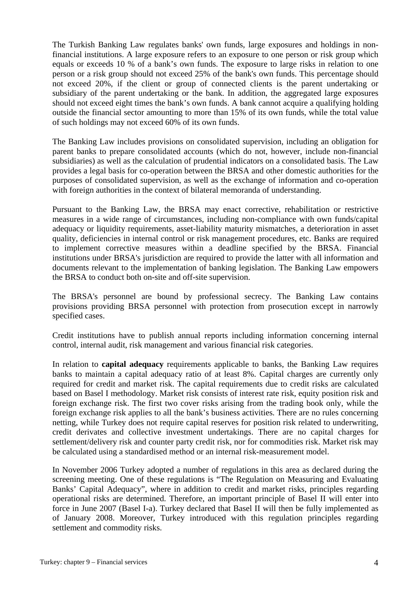The Turkish Banking Law regulates banks' own funds, large exposures and holdings in nonfinancial institutions. A large exposure refers to an exposure to one person or risk group which equals or exceeds 10 % of a bank's own funds. The exposure to large risks in relation to one person or a risk group should not exceed 25% of the bank's own funds. This percentage should not exceed 20%, if the client or group of connected clients is the parent undertaking or subsidiary of the parent undertaking or the bank. In addition, the aggregated large exposures should not exceed eight times the bank's own funds. A bank cannot acquire a qualifying holding outside the financial sector amounting to more than 15% of its own funds, while the total value of such holdings may not exceed 60% of its own funds.

The Banking Law includes provisions on consolidated supervision, including an obligation for parent banks to prepare consolidated accounts (which do not, however, include non-financial subsidiaries) as well as the calculation of prudential indicators on a consolidated basis. The Law provides a legal basis for co-operation between the BRSA and other domestic authorities for the purposes of consolidated supervision, as well as the exchange of information and co-operation with foreign authorities in the context of bilateral memoranda of understanding.

Pursuant to the Banking Law, the BRSA may enact corrective, rehabilitation or restrictive measures in a wide range of circumstances, including non-compliance with own funds/capital adequacy or liquidity requirements, asset-liability maturity mismatches, a deterioration in asset quality, deficiencies in internal control or risk management procedures, etc. Banks are required to implement corrective measures within a deadline specified by the BRSA. Financial institutions under BRSA's jurisdiction are required to provide the latter with all information and documents relevant to the implementation of banking legislation. The Banking Law empowers the BRSA to conduct both on-site and off-site supervision.

The BRSA's personnel are bound by professional secrecy. The Banking Law contains provisions providing BRSA personnel with protection from prosecution except in narrowly specified cases.

Credit institutions have to publish annual reports including information concerning internal control, internal audit, risk management and various financial risk categories.

In relation to **capital adequacy** requirements applicable to banks, the Banking Law requires banks to maintain a capital adequacy ratio of at least 8%. Capital charges are currently only required for credit and market risk. The capital requirements due to credit risks are calculated based on Basel I methodology. Market risk consists of interest rate risk, equity position risk and foreign exchange risk. The first two cover risks arising from the trading book only, while the foreign exchange risk applies to all the bank's business activities. There are no rules concerning netting, while Turkey does not require capital reserves for position risk related to underwriting, credit derivates and collective investment undertakings. There are no capital charges for settlement/delivery risk and counter party credit risk, nor for commodities risk. Market risk may be calculated using a standardised method or an internal risk-measurement model.

In November 2006 Turkey adopted a number of regulations in this area as declared during the screening meeting. One of these regulations is "The Regulation on Measuring and Evaluating Banks' Capital Adequacy", where in addition to credit and market risks, principles regarding operational risks are determined. Therefore, an important principle of Basel II will enter into force in June 2007 (Basel I-a). Turkey declared that Basel II will then be fully implemented as of January 2008. Moreover, Turkey introduced with this regulation principles regarding settlement and commodity risks.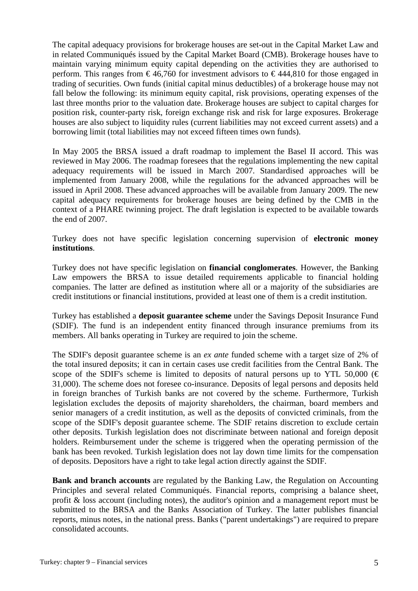The capital adequacy provisions for brokerage houses are set-out in the Capital Market Law and in related Communiqués issued by the Capital Market Board (CMB). Brokerage houses have to maintain varying minimum equity capital depending on the activities they are authorised to perform. This ranges from  $\epsilon$ 46,760 for investment advisors to  $\epsilon$ 444,810 for those engaged in trading of securities. Own funds (initial capital minus deductibles) of a brokerage house may not fall below the following: its minimum equity capital, risk provisions, operating expenses of the last three months prior to the valuation date. Brokerage houses are subject to capital charges for position risk, counter-party risk, foreign exchange risk and risk for large exposures. Brokerage houses are also subject to liquidity rules (current liabilities may not exceed current assets) and a borrowing limit (total liabilities may not exceed fifteen times own funds).

In May 2005 the BRSA issued a draft roadmap to implement the Basel II accord. This was reviewed in May 2006. The roadmap foresees that the regulations implementing the new capital adequacy requirements will be issued in March 2007. Standardised approaches will be implemented from January 2008, while the regulations for the advanced approaches will be issued in April 2008. These advanced approaches will be available from January 2009. The new capital adequacy requirements for brokerage houses are being defined by the CMB in the context of a PHARE twinning project. The draft legislation is expected to be available towards the end of 2007.

Turkey does not have specific legislation concerning supervision of **electronic money institutions**.

Turkey does not have specific legislation on **financial conglomerates**. However, the Banking Law empowers the BRSA to issue detailed requirements applicable to financial holding companies. The latter are defined as institution where all or a majority of the subsidiaries are credit institutions or financial institutions, provided at least one of them is a credit institution.

Turkey has established a **deposit guarantee scheme** under the Savings Deposit Insurance Fund (SDIF). The fund is an independent entity financed through insurance premiums from its members. All banks operating in Turkey are required to join the scheme.

The SDIF's deposit guarantee scheme is an *ex ante* funded scheme with a target size of 2% of the total insured deposits; it can in certain cases use credit facilities from the Central Bank. The scope of the SDIF's scheme is limited to deposits of natural persons up to YTL 50,000 ( $\in$ 31,000). The scheme does not foresee co-insurance. Deposits of legal persons and deposits held in foreign branches of Turkish banks are not covered by the scheme. Furthermore, Turkish legislation excludes the deposits of majority shareholders, the chairman, board members and senior managers of a credit institution, as well as the deposits of convicted criminals, from the scope of the SDIF's deposit guarantee scheme. The SDIF retains discretion to exclude certain other deposits. Turkish legislation does not discriminate between national and foreign deposit holders. Reimbursement under the scheme is triggered when the operating permission of the bank has been revoked. Turkish legislation does not lay down time limits for the compensation of deposits. Depositors have a right to take legal action directly against the SDIF.

**Bank and branch accounts** are regulated by the Banking Law, the Regulation on Accounting Principles and several related Communiqués. Financial reports, comprising a balance sheet, profit & loss account (including notes), the auditor's opinion and a management report must be submitted to the BRSA and the Banks Association of Turkey. The latter publishes financial reports, minus notes, in the national press. Banks ("parent undertakings") are required to prepare consolidated accounts.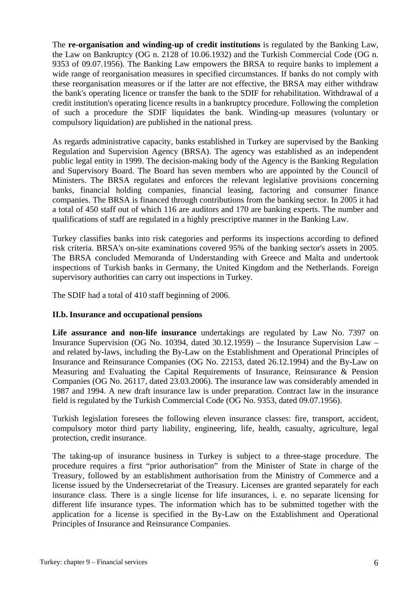The **re-organisation and winding-up of credit institutions** is regulated by the Banking Law, the Law on Bankruptcy (OG n. 2128 of 10.06.1932) and the Turkish Commercial Code (OG n. 9353 of 09.07.1956). The Banking Law empowers the BRSA to require banks to implement a wide range of reorganisation measures in specified circumstances. If banks do not comply with these reorganisation measures or if the latter are not effective, the BRSA may either withdraw the bank's operating licence or transfer the bank to the SDIF for rehabilitation. Withdrawal of a credit institution's operating licence results in a bankruptcy procedure. Following the completion of such a procedure the SDIF liquidates the bank. Winding-up measures (voluntary or compulsory liquidation) are published in the national press.

As regards administrative capacity, banks established in Turkey are supervised by the Banking Regulation and Supervision Agency (BRSA). The agency was established as an independent public legal entity in 1999. The decision-making body of the Agency is the Banking Regulation and Supervisory Board. The Board has seven members who are appointed by the Council of Ministers. The BRSA regulates and enforces the relevant legislative provisions concerning banks, financial holding companies, financial leasing, factoring and consumer finance companies. The BRSA is financed through contributions from the banking sector. In 2005 it had a total of 450 staff out of which 116 are auditors and 170 are banking experts. The number and qualifications of staff are regulated in a highly prescriptive manner in the Banking Law.

Turkey classifies banks into risk categories and performs its inspections according to defined risk criteria. BRSA's on-site examinations covered 95% of the banking sector's assets in 2005. The BRSA concluded Memoranda of Understanding with Greece and Malta and undertook inspections of Turkish banks in Germany, the United Kingdom and the Netherlands. Foreign supervisory authorities can carry out inspections in Turkey.

The SDIF had a total of 410 staff beginning of 2006.

#### **II.b. Insurance and occupational pensions**

**Life assurance and non-life insurance** undertakings are regulated by Law No. 7397 on Insurance Supervision (OG No. 10394, dated 30.12.1959) – the Insurance Supervision Law – and related by-laws, including the By-Law on the Establishment and Operational Principles of Insurance and Reinsurance Companies (OG No. 22153, dated 26.12.1994) and the By-Law on Measuring and Evaluating the Capital Requirements of Insurance, Reinsurance & Pension Companies (OG No. 26117, dated 23.03.2006). The insurance law was considerably amended in 1987 and 1994. A new draft insurance law is under preparation. Contract law in the insurance field is regulated by the Turkish Commercial Code (OG No. 9353, dated 09.07.1956).

Turkish legislation foresees the following eleven insurance classes: fire, transport, accident, compulsory motor third party liability, engineering, life, health, casualty, agriculture, legal protection, credit insurance.

The taking-up of insurance business in Turkey is subject to a three-stage procedure. The procedure requires a first "prior authorisation" from the Minister of State in charge of the Treasury, followed by an establishment authorisation from the Ministry of Commerce and a license issued by the Undersecretariat of the Treasury. Licenses are granted separately for each insurance class. There is a single license for life insurances, i. e. no separate licensing for different life insurance types. The information which has to be submitted together with the application for a license is specified in the By-Law on the Establishment and Operational Principles of Insurance and Reinsurance Companies.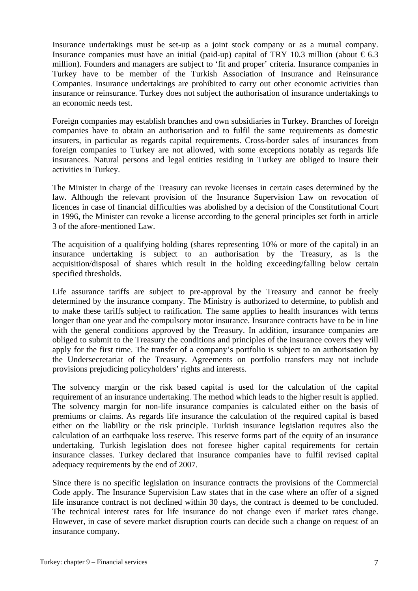Insurance undertakings must be set-up as a joint stock company or as a mutual company. Insurance companies must have an initial (paid-up) capital of TRY 10.3 million (about  $\epsilon$ 6.3 million). Founders and managers are subject to 'fit and proper' criteria. Insurance companies in Turkey have to be member of the Turkish Association of Insurance and Reinsurance Companies. Insurance undertakings are prohibited to carry out other economic activities than insurance or reinsurance. Turkey does not subject the authorisation of insurance undertakings to an economic needs test.

Foreign companies may establish branches and own subsidiaries in Turkey. Branches of foreign companies have to obtain an authorisation and to fulfil the same requirements as domestic insurers, in particular as regards capital requirements. Cross-border sales of insurances from foreign companies to Turkey are not allowed, with some exceptions notably as regards life insurances. Natural persons and legal entities residing in Turkey are obliged to insure their activities in Turkey.

The Minister in charge of the Treasury can revoke licenses in certain cases determined by the law. Although the relevant provision of the Insurance Supervision Law on revocation of licences in case of financial difficulties was abolished by a decision of the Constitutional Court in 1996, the Minister can revoke a license according to the general principles set forth in article 3 of the afore-mentioned Law.

The acquisition of a qualifying holding (shares representing 10% or more of the capital) in an insurance undertaking is subject to an authorisation by the Treasury, as is the acquisition/disposal of shares which result in the holding exceeding/falling below certain specified thresholds.

Life assurance tariffs are subject to pre-approval by the Treasury and cannot be freely determined by the insurance company. The Ministry is authorized to determine, to publish and to make these tariffs subject to ratification. The same applies to health insurances with terms longer than one year and the compulsory motor insurance. Insurance contracts have to be in line with the general conditions approved by the Treasury. In addition, insurance companies are obliged to submit to the Treasury the conditions and principles of the insurance covers they will apply for the first time. The transfer of a company's portfolio is subject to an authorisation by the Undersecretariat of the Treasury. Agreements on portfolio transfers may not include provisions prejudicing policyholders' rights and interests.

The solvency margin or the risk based capital is used for the calculation of the capital requirement of an insurance undertaking. The method which leads to the higher result is applied. The solvency margin for non-life insurance companies is calculated either on the basis of premiums or claims. As regards life insurance the calculation of the required capital is based either on the liability or the risk principle. Turkish insurance legislation requires also the calculation of an earthquake loss reserve. This reserve forms part of the equity of an insurance undertaking. Turkish legislation does not foresee higher capital requirements for certain insurance classes. Turkey declared that insurance companies have to fulfil revised capital adequacy requirements by the end of 2007.

Since there is no specific legislation on insurance contracts the provisions of the Commercial Code apply. The Insurance Supervision Law states that in the case where an offer of a signed life insurance contract is not declined within 30 days, the contract is deemed to be concluded. The technical interest rates for life insurance do not change even if market rates change. However, in case of severe market disruption courts can decide such a change on request of an insurance company.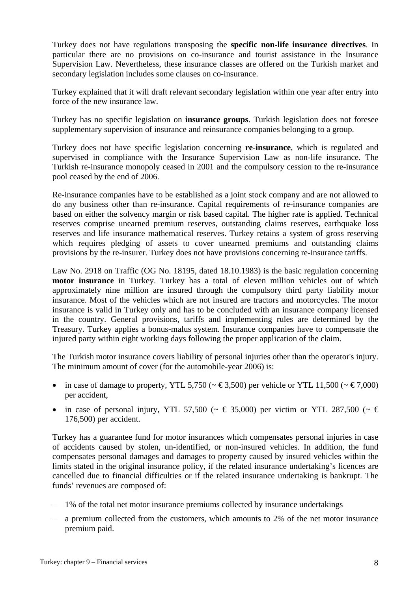Turkey does not have regulations transposing the **specific non-life insurance directives**. In particular there are no provisions on co-insurance and tourist assistance in the Insurance Supervision Law. Nevertheless, these insurance classes are offered on the Turkish market and secondary legislation includes some clauses on co-insurance.

Turkey explained that it will draft relevant secondary legislation within one year after entry into force of the new insurance law.

Turkey has no specific legislation on **insurance groups**. Turkish legislation does not foresee supplementary supervision of insurance and reinsurance companies belonging to a group.

Turkey does not have specific legislation concerning **re-insurance**, which is regulated and supervised in compliance with the Insurance Supervision Law as non-life insurance. The Turkish re-insurance monopoly ceased in 2001 and the compulsory cession to the re-insurance pool ceased by the end of 2006.

Re-insurance companies have to be established as a joint stock company and are not allowed to do any business other than re-insurance. Capital requirements of re-insurance companies are based on either the solvency margin or risk based capital. The higher rate is applied. Technical reserves comprise unearned premium reserves, outstanding claims reserves, earthquake loss reserves and life insurance mathematical reserves. Turkey retains a system of gross reserving which requires pledging of assets to cover unearned premiums and outstanding claims provisions by the re-insurer. Turkey does not have provisions concerning re-insurance tariffs.

Law No. 2918 on Traffic (OG No. 18195, dated 18.10.1983) is the basic regulation concerning **motor insurance** in Turkey. Turkey has a total of eleven million vehicles out of which approximately nine million are insured through the compulsory third party liability motor insurance. Most of the vehicles which are not insured are tractors and motorcycles. The motor insurance is valid in Turkey only and has to be concluded with an insurance company licensed in the country. General provisions, tariffs and implementing rules are determined by the Treasury. Turkey applies a bonus-malus system. Insurance companies have to compensate the injured party within eight working days following the proper application of the claim.

The Turkish motor insurance covers liability of personal injuries other than the operator's injury. The minimum amount of cover (for the automobile-year 2006) is:

- in case of damage to property, YTL 5,750 ( $\sim \text{\textsterling}3,500$ ) per vehicle or YTL 11,500 ( $\sim \text{\textsterling}7,000$ ) per accident,
- in case of personal injury, YTL 57,500 ( $\sim \epsilon$  35,000) per victim or YTL 287,500 ( $\sim \epsilon$ ) 176,500) per accident.

Turkey has a guarantee fund for motor insurances which compensates personal injuries in case of accidents caused by stolen, un-identified, or non-insured vehicles. In addition, the fund compensates personal damages and damages to property caused by insured vehicles within the limits stated in the original insurance policy, if the related insurance undertaking's licences are cancelled due to financial difficulties or if the related insurance undertaking is bankrupt. The funds' revenues are composed of:

- − 1% of the total net motor insurance premiums collected by insurance undertakings
- − a premium collected from the customers, which amounts to 2% of the net motor insurance premium paid.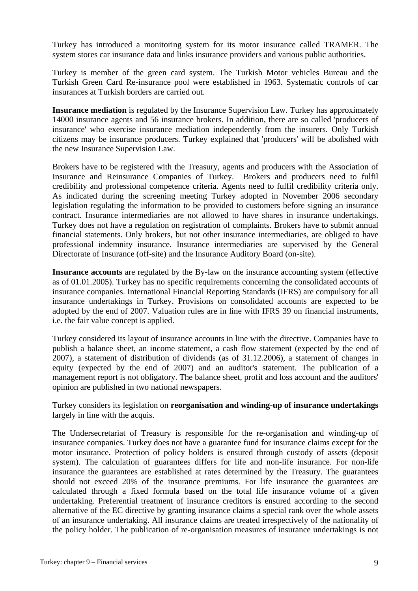Turkey has introduced a monitoring system for its motor insurance called TRAMER. The system stores car insurance data and links insurance providers and various public authorities.

Turkey is member of the green card system. The Turkish Motor vehicles Bureau and the Turkish Green Card Re-insurance pool were established in 1963. Systematic controls of car insurances at Turkish borders are carried out.

**Insurance mediation** is regulated by the Insurance Supervision Law. Turkey has approximately 14000 insurance agents and 56 insurance brokers. In addition, there are so called 'producers of insurance' who exercise insurance mediation independently from the insurers. Only Turkish citizens may be insurance producers. Turkey explained that 'producers' will be abolished with the new Insurance Supervision Law.

Brokers have to be registered with the Treasury, agents and producers with the Association of Insurance and Reinsurance Companies of Turkey. Brokers and producers need to fulfil credibility and professional competence criteria. Agents need to fulfil credibility criteria only. As indicated during the screening meeting Turkey adopted in November 2006 secondary legislation regulating the information to be provided to customers before signing an insurance contract. Insurance intermediaries are not allowed to have shares in insurance undertakings. Turkey does not have a regulation on registration of complaints. Brokers have to submit annual financial statements. Only brokers, but not other insurance intermediaries, are obliged to have professional indemnity insurance. Insurance intermediaries are supervised by the General Directorate of Insurance (off-site) and the Insurance Auditory Board (on-site).

**Insurance accounts** are regulated by the By-law on the insurance accounting system (effective as of 01.01.2005). Turkey has no specific requirements concerning the consolidated accounts of insurance companies. International Financial Reporting Standards (IFRS) are compulsory for all insurance undertakings in Turkey. Provisions on consolidated accounts are expected to be adopted by the end of 2007. Valuation rules are in line with IFRS 39 on financial instruments, i.e. the fair value concept is applied.

Turkey considered its layout of insurance accounts in line with the directive. Companies have to publish a balance sheet, an income statement, a cash flow statement (expected by the end of 2007), a statement of distribution of dividends (as of 31.12.2006), a statement of changes in equity (expected by the end of 2007) and an auditor's statement. The publication of a management report is not obligatory. The balance sheet, profit and loss account and the auditors' opinion are published in two national newspapers.

Turkey considers its legislation on **reorganisation and winding-up of insurance undertakings** largely in line with the acquis.

The Undersecretariat of Treasury is responsible for the re-organisation and winding-up of insurance companies. Turkey does not have a guarantee fund for insurance claims except for the motor insurance. Protection of policy holders is ensured through custody of assets (deposit system). The calculation of guarantees differs for life and non-life insurance. For non-life insurance the guarantees are established at rates determined by the Treasury. The guarantees should not exceed 20% of the insurance premiums. For life insurance the guarantees are calculated through a fixed formula based on the total life insurance volume of a given undertaking. Preferential treatment of insurance creditors is ensured according to the second alternative of the EC directive by granting insurance claims a special rank over the whole assets of an insurance undertaking. All insurance claims are treated irrespectively of the nationality of the policy holder. The publication of re-organisation measures of insurance undertakings is not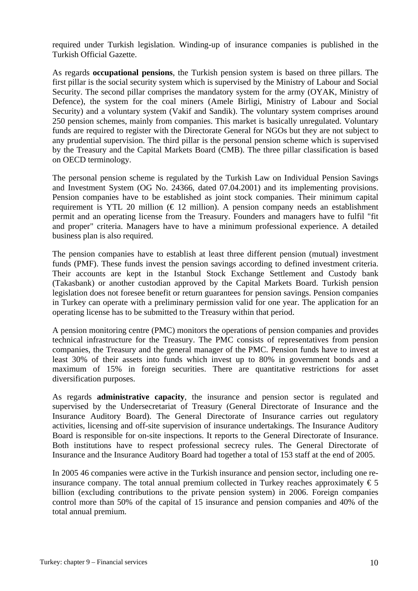required under Turkish legislation. Winding-up of insurance companies is published in the Turkish Official Gazette.

As regards **occupational pensions**, the Turkish pension system is based on three pillars. The first pillar is the social security system which is supervised by the Ministry of Labour and Social Security. The second pillar comprises the mandatory system for the army (OYAK, Ministry of Defence), the system for the coal miners (Amele Birligi, Ministry of Labour and Social Security) and a voluntary system (Vakif and Sandik). The voluntary system comprises around 250 pension schemes, mainly from companies. This market is basically unregulated. Voluntary funds are required to register with the Directorate General for NGOs but they are not subject to any prudential supervision. The third pillar is the personal pension scheme which is supervised by the Treasury and the Capital Markets Board (CMB). The three pillar classification is based on OECD terminology.

The personal pension scheme is regulated by the Turkish Law on Individual Pension Savings and Investment System (OG No. 24366, dated 07.04.2001) and its implementing provisions. Pension companies have to be established as joint stock companies. Their minimum capital requirement is YTL 20 million ( $\in$  12 million). A pension company needs an establishment permit and an operating license from the Treasury. Founders and managers have to fulfil "fit and proper" criteria. Managers have to have a minimum professional experience. A detailed business plan is also required.

The pension companies have to establish at least three different pension (mutual) investment funds (PMF). These funds invest the pension savings according to defined investment criteria. Their accounts are kept in the Istanbul Stock Exchange Settlement and Custody bank (Takasbank) or another custodian approved by the Capital Markets Board. Turkish pension legislation does not foresee benefit or return guarantees for pension savings. Pension companies in Turkey can operate with a preliminary permission valid for one year. The application for an operating license has to be submitted to the Treasury within that period.

A pension monitoring centre (PMC) monitors the operations of pension companies and provides technical infrastructure for the Treasury. The PMC consists of representatives from pension companies, the Treasury and the general manager of the PMC. Pension funds have to invest at least 30% of their assets into funds which invest up to 80% in government bonds and a maximum of 15% in foreign securities. There are quantitative restrictions for asset diversification purposes.

As regards **administrative capacity**, the insurance and pension sector is regulated and supervised by the Undersecretariat of Treasury (General Directorate of Insurance and the Insurance Auditory Board). The General Directorate of Insurance carries out regulatory activities, licensing and off-site supervision of insurance undertakings. The Insurance Auditory Board is responsible for on-site inspections. It reports to the General Directorate of Insurance. Both institutions have to respect professional secrecy rules. The General Directorate of Insurance and the Insurance Auditory Board had together a total of 153 staff at the end of 2005.

In 2005 46 companies were active in the Turkish insurance and pension sector, including one reinsurance company. The total annual premium collected in Turkey reaches approximately  $\epsilon$  5 billion (excluding contributions to the private pension system) in 2006. Foreign companies control more than 50% of the capital of 15 insurance and pension companies and 40% of the total annual premium.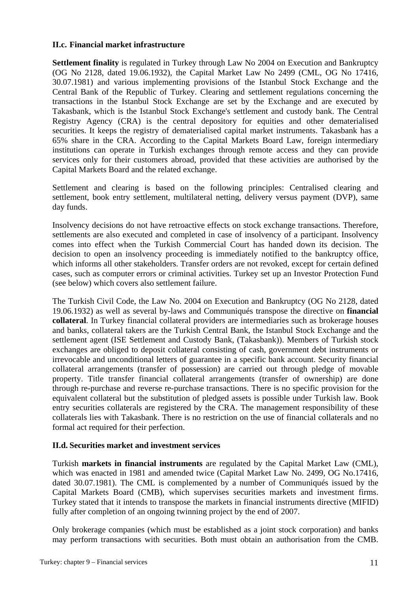#### **II.c. Financial market infrastructure**

**Settlement finality** is regulated in Turkey through Law No 2004 on Execution and Bankruptcy (OG No 2128, dated 19.06.1932), the Capital Market Law No 2499 (CML, OG No 17416, 30.07.1981) and various implementing provisions of the Istanbul Stock Exchange and the Central Bank of the Republic of Turkey. Clearing and settlement regulations concerning the transactions in the Istanbul Stock Exchange are set by the Exchange and are executed by Takasbank, which is the Istanbul Stock Exchange's settlement and custody bank. The Central Registry Agency (CRA) is the central depository for equities and other dematerialised securities. It keeps the registry of dematerialised capital market instruments. Takasbank has a 65% share in the CRA. According to the Capital Markets Board Law, foreign intermediary institutions can operate in Turkish exchanges through remote access and they can provide services only for their customers abroad, provided that these activities are authorised by the Capital Markets Board and the related exchange.

Settlement and clearing is based on the following principles: Centralised clearing and settlement, book entry settlement, multilateral netting, delivery versus payment (DVP), same day funds.

Insolvency decisions do not have retroactive effects on stock exchange transactions. Therefore, settlements are also executed and completed in case of insolvency of a participant. Insolvency comes into effect when the Turkish Commercial Court has handed down its decision. The decision to open an insolvency proceeding is immediately notified to the bankruptcy office, which informs all other stakeholders. Transfer orders are not revoked, except for certain defined cases, such as computer errors or criminal activities. Turkey set up an Investor Protection Fund (see below) which covers also settlement failure.

The Turkish Civil Code, the Law No. 2004 on Execution and Bankruptcy (OG No 2128, dated 19.06.1932) as well as several by-laws and Communiqués transpose the directive on **financial collateral**. In Turkey financial collateral providers are intermediaries such as brokerage houses and banks, collateral takers are the Turkish Central Bank, the Istanbul Stock Exchange and the settlement agent (ISE Settlement and Custody Bank, (Takasbank)). Members of Turkish stock exchanges are obliged to deposit collateral consisting of cash, government debt instruments or irrevocable and unconditional letters of guarantee in a specific bank account. Security financial collateral arrangements (transfer of possession) are carried out through pledge of movable property. Title transfer financial collateral arrangements (transfer of ownership) are done through re-purchase and reverse re-purchase transactions. There is no specific provision for the equivalent collateral but the substitution of pledged assets is possible under Turkish law. Book entry securities collaterals are registered by the CRA. The management responsibility of these collaterals lies with Takasbank. There is no restriction on the use of financial collaterals and no formal act required for their perfection.

## **II.d. Securities market and investment services**

Turkish **markets in financial instruments** are regulated by the Capital Market Law (CML), which was enacted in 1981 and amended twice (Capital Market Law No. 2499, OG No.17416, dated 30.07.1981). The CML is complemented by a number of Communiqués issued by the Capital Markets Board (CMB), which supervises securities markets and investment firms. Turkey stated that it intends to transpose the markets in financial instruments directive (MIFID) fully after completion of an ongoing twinning project by the end of 2007.

Only brokerage companies (which must be established as a joint stock corporation) and banks may perform transactions with securities. Both must obtain an authorisation from the CMB.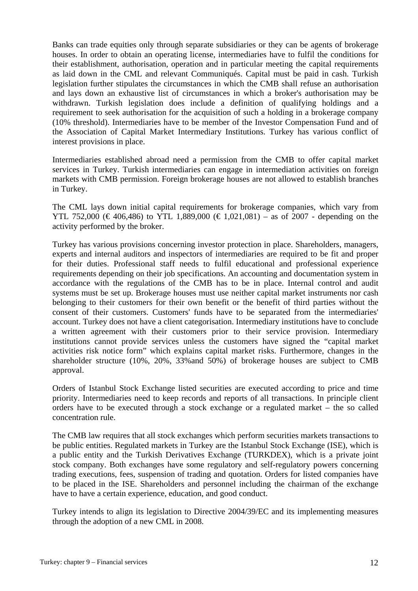Banks can trade equities only through separate subsidiaries or they can be agents of brokerage houses. In order to obtain an operating license, intermediaries have to fulfil the conditions for their establishment, authorisation, operation and in particular meeting the capital requirements as laid down in the CML and relevant Communiqués. Capital must be paid in cash. Turkish legislation further stipulates the circumstances in which the CMB shall refuse an authorisation and lays down an exhaustive list of circumstances in which a broker's authorisation may be withdrawn. Turkish legislation does include a definition of qualifying holdings and a requirement to seek authorisation for the acquisition of such a holding in a brokerage company (10% threshold). Intermediaries have to be member of the Investor Compensation Fund and of the Association of Capital Market Intermediary Institutions. Turkey has various conflict of interest provisions in place.

Intermediaries established abroad need a permission from the CMB to offer capital market services in Turkey. Turkish intermediaries can engage in intermediation activities on foreign markets with CMB permission. Foreign brokerage houses are not allowed to establish branches in Turkey.

The CML lays down initial capital requirements for brokerage companies, which vary from YTL 752,000 (€406,486) to YTL 1,889,000 (€1,021,081) – as of 2007 - depending on the activity performed by the broker.

Turkey has various provisions concerning investor protection in place. Shareholders, managers, experts and internal auditors and inspectors of intermediaries are required to be fit and proper for their duties. Professional staff needs to fulfil educational and professional experience requirements depending on their job specifications. An accounting and documentation system in accordance with the regulations of the CMB has to be in place. Internal control and audit systems must be set up. Brokerage houses must use neither capital market instruments nor cash belonging to their customers for their own benefit or the benefit of third parties without the consent of their customers. Customers' funds have to be separated from the intermediaries' account. Turkey does not have a client categorisation. Intermediary institutions have to conclude a written agreement with their customers prior to their service provision. Intermediary institutions cannot provide services unless the customers have signed the "capital market activities risk notice form" which explains capital market risks. Furthermore, changes in the shareholder structure (10%, 20%, 33%and 50%) of brokerage houses are subject to CMB approval.

Orders of Istanbul Stock Exchange listed securities are executed according to price and time priority. Intermediaries need to keep records and reports of all transactions. In principle client orders have to be executed through a stock exchange or a regulated market – the so called concentration rule.

The CMB law requires that all stock exchanges which perform securities markets transactions to be public entities. Regulated markets in Turkey are the Istanbul Stock Exchange (ISE), which is a public entity and the Turkish Derivatives Exchange (TURKDEX), which is a private joint stock company. Both exchanges have some regulatory and self-regulatory powers concerning trading executions, fees, suspension of trading and quotation. Orders for listed companies have to be placed in the ISE. Shareholders and personnel including the chairman of the exchange have to have a certain experience, education, and good conduct.

Turkey intends to align its legislation to Directive 2004/39/EC and its implementing measures through the adoption of a new CML in 2008.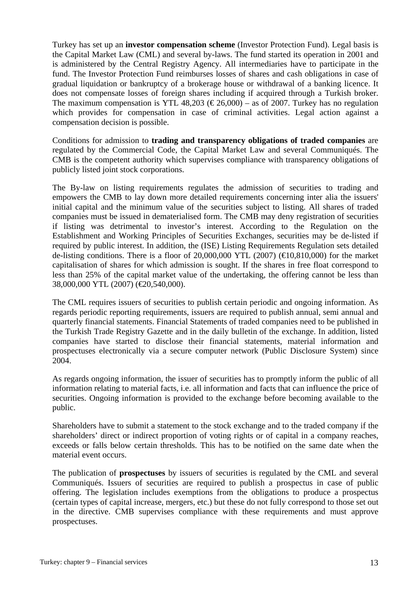Turkey has set up an **investor compensation scheme** (Investor Protection Fund). Legal basis is the Capital Market Law (CML) and several by-laws. The fund started its operation in 2001 and is administered by the Central Registry Agency. All intermediaries have to participate in the fund. The Investor Protection Fund reimburses losses of shares and cash obligations in case of gradual liquidation or bankruptcy of a brokerage house or withdrawal of a banking licence. It does not compensate losses of foreign shares including if acquired through a Turkish broker. The maximum compensation is YTL 48,203 ( $\epsilon$ 26,000) – as of 2007. Turkey has no regulation which provides for compensation in case of criminal activities. Legal action against a compensation decision is possible.

Conditions for admission to **trading and transparency obligations of traded companies** are regulated by the Commercial Code, the Capital Market Law and several Communiqués. The CMB is the competent authority which supervises compliance with transparency obligations of publicly listed joint stock corporations.

The By-law on listing requirements regulates the admission of securities to trading and empowers the CMB to lay down more detailed requirements concerning inter alia the issuers' initial capital and the minimum value of the securities subject to listing. All shares of traded companies must be issued in dematerialised form. The CMB may deny registration of securities if listing was detrimental to investor's interest. According to the Regulation on the Establishment and Working Principles of Securities Exchanges, securities may be de-listed if required by public interest. In addition, the (ISE) Listing Requirements Regulation sets detailed de-listing conditions. There is a floor of 20,000,000 YTL (2007) ( $\bigoplus 0.810,000$ ) for the market capitalisation of shares for which admission is sought. If the shares in free float correspond to less than 25% of the capital market value of the undertaking, the offering cannot be less than 38,000,000 YTL (2007) (€20,540,000).

The CML requires issuers of securities to publish certain periodic and ongoing information. As regards periodic reporting requirements, issuers are required to publish annual, semi annual and quarterly financial statements. Financial Statements of traded companies need to be published in the Turkish Trade Registry Gazette and in the daily bulletin of the exchange. In addition, listed companies have started to disclose their financial statements, material information and prospectuses electronically via a secure computer network (Public Disclosure System) since 2004.

As regards ongoing information, the issuer of securities has to promptly inform the public of all information relating to material facts, i.e. all information and facts that can influence the price of securities. Ongoing information is provided to the exchange before becoming available to the public.

Shareholders have to submit a statement to the stock exchange and to the traded company if the shareholders' direct or indirect proportion of voting rights or of capital in a company reaches, exceeds or falls below certain thresholds. This has to be notified on the same date when the material event occurs.

The publication of **prospectuses** by issuers of securities is regulated by the CML and several Communiqués. Issuers of securities are required to publish a prospectus in case of public offering. The legislation includes exemptions from the obligations to produce a prospectus (certain types of capital increase, mergers, etc.) but these do not fully correspond to those set out in the directive. CMB supervises compliance with these requirements and must approve prospectuses.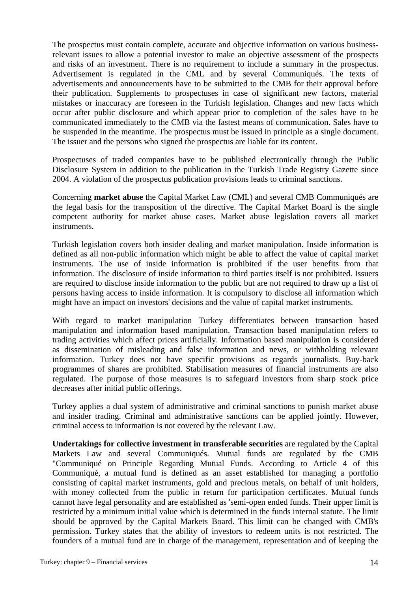The prospectus must contain complete, accurate and objective information on various businessrelevant issues to allow a potential investor to make an objective assessment of the prospects and risks of an investment. There is no requirement to include a summary in the prospectus. Advertisement is regulated in the CML and by several Communiqués. The texts of advertisements and announcements have to be submitted to the CMB for their approval before their publication. Supplements to prospectuses in case of significant new factors, material mistakes or inaccuracy are foreseen in the Turkish legislation. Changes and new facts which occur after public disclosure and which appear prior to completion of the sales have to be communicated immediately to the CMB via the fastest means of communication. Sales have to be suspended in the meantime. The prospectus must be issued in principle as a single document. The issuer and the persons who signed the prospectus are liable for its content.

Prospectuses of traded companies have to be published electronically through the Public Disclosure System in addition to the publication in the Turkish Trade Registry Gazette since 2004. A violation of the prospectus publication provisions leads to criminal sanctions.

Concerning **market abuse** the Capital Market Law (CML) and several CMB Communiqués are the legal basis for the transposition of the directive. The Capital Market Board is the single competent authority for market abuse cases. Market abuse legislation covers all market instruments.

Turkish legislation covers both insider dealing and market manipulation. Inside information is defined as all non-public information which might be able to affect the value of capital market instruments. The use of inside information is prohibited if the user benefits from that information. The disclosure of inside information to third parties itself is not prohibited. Issuers are required to disclose inside information to the public but are not required to draw up a list of persons having access to inside information. It is compulsory to disclose all information which might have an impact on investors' decisions and the value of capital market instruments.

With regard to market manipulation Turkey differentiates between transaction based manipulation and information based manipulation. Transaction based manipulation refers to trading activities which affect prices artificially. Information based manipulation is considered as dissemination of misleading and false information and news, or withholding relevant information. Turkey does not have specific provisions as regards journalists. Buy-back programmes of shares are prohibited. Stabilisation measures of financial instruments are also regulated. The purpose of those measures is to safeguard investors from sharp stock price decreases after initial public offerings.

Turkey applies a dual system of administrative and criminal sanctions to punish market abuse and insider trading. Criminal and administrative sanctions can be applied jointly. However, criminal access to information is not covered by the relevant Law.

**Undertakings for collective investment in transferable securities** are regulated by the Capital Markets Law and several Communiqués. Mutual funds are regulated by the CMB "Communiqué on Principle Regarding Mutual Funds. According to Article 4 of this Communiqué, a mutual fund is defined as an asset established for managing a portfolio consisting of capital market instruments, gold and precious metals, on behalf of unit holders, with money collected from the public in return for participation certificates. Mutual funds cannot have legal personality and are established as 'semi-open ended funds. Their upper limit is restricted by a minimum initial value which is determined in the funds internal statute. The limit should be approved by the Capital Markets Board. This limit can be changed with CMB's permission. Turkey states that the ability of investors to redeem units is not restricted. The founders of a mutual fund are in charge of the management, representation and of keeping the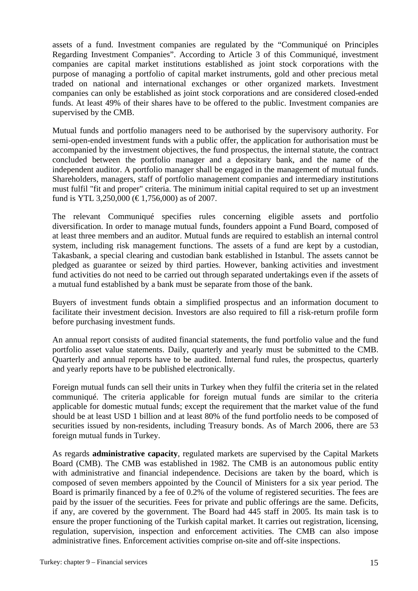assets of a fund. Investment companies are regulated by the "Communiqué on Principles Regarding Investment Companies". According to Article 3 of this Communiqué, investment companies are capital market institutions established as joint stock corporations with the purpose of managing a portfolio of capital market instruments, gold and other precious metal traded on national and international exchanges or other organized markets. Investment companies can only be established as joint stock corporations and are considered closed-ended funds. At least 49% of their shares have to be offered to the public. Investment companies are supervised by the CMB.

Mutual funds and portfolio managers need to be authorised by the supervisory authority. For semi-open-ended investment funds with a public offer, the application for authorisation must be accompanied by the investment objectives, the fund prospectus, the internal statute, the contract concluded between the portfolio manager and a depositary bank, and the name of the independent auditor. A portfolio manager shall be engaged in the management of mutual funds. Shareholders, managers, staff of portfolio management companies and intermediary institutions must fulfil "fit and proper" criteria. The minimum initial capital required to set up an investment fund is YTL 3,250,000 ( $\epsilon$ 1,756,000) as of 2007.

The relevant Communiqué specifies rules concerning eligible assets and portfolio diversification. In order to manage mutual funds, founders appoint a Fund Board, composed of at least three members and an auditor. Mutual funds are required to establish an internal control system, including risk management functions. The assets of a fund are kept by a custodian, Takasbank, a special clearing and custodian bank established in Istanbul. The assets cannot be pledged as guarantee or seized by third parties. However, banking activities and investment fund activities do not need to be carried out through separated undertakings even if the assets of a mutual fund established by a bank must be separate from those of the bank.

Buyers of investment funds obtain a simplified prospectus and an information document to facilitate their investment decision. Investors are also required to fill a risk-return profile form before purchasing investment funds.

An annual report consists of audited financial statements, the fund portfolio value and the fund portfolio asset value statements. Daily, quarterly and yearly must be submitted to the CMB. Quarterly and annual reports have to be audited. Internal fund rules, the prospectus, quarterly and yearly reports have to be published electronically.

Foreign mutual funds can sell their units in Turkey when they fulfil the criteria set in the related communiqué. The criteria applicable for foreign mutual funds are similar to the criteria applicable for domestic mutual funds; except the requirement that the market value of the fund should be at least USD 1 billion and at least 80% of the fund portfolio needs to be composed of securities issued by non-residents, including Treasury bonds. As of March 2006, there are 53 foreign mutual funds in Turkey.

As regards **administrative capacity**, regulated markets are supervised by the Capital Markets Board (CMB). The CMB was established in 1982. The CMB is an autonomous public entity with administrative and financial independence. Decisions are taken by the board, which is composed of seven members appointed by the Council of Ministers for a six year period. The Board is primarily financed by a fee of 0.2% of the volume of registered securities. The fees are paid by the issuer of the securities. Fees for private and public offerings are the same. Deficits, if any, are covered by the government. The Board had 445 staff in 2005. Its main task is to ensure the proper functioning of the Turkish capital market. It carries out registration, licensing, regulation, supervision, inspection and enforcement activities. The CMB can also impose administrative fines. Enforcement activities comprise on-site and off-site inspections.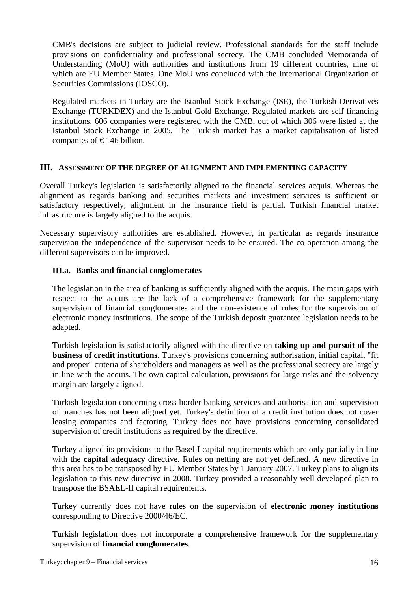CMB's decisions are subject to judicial review. Professional standards for the staff include provisions on confidentiality and professional secrecy. The CMB concluded Memoranda of Understanding (MoU) with authorities and institutions from 19 different countries, nine of which are EU Member States. One MoU was concluded with the International Organization of Securities Commissions (IOSCO).

Regulated markets in Turkey are the Istanbul Stock Exchange (ISE), the Turkish Derivatives Exchange (TURKDEX) and the Istanbul Gold Exchange. Regulated markets are self financing institutions. 606 companies were registered with the CMB, out of which 306 were listed at the Istanbul Stock Exchange in 2005. The Turkish market has a market capitalisation of listed companies of  $\epsilon$ 146 billion.

#### **III. ASSESSMENT OF THE DEGREE OF ALIGNMENT AND IMPLEMENTING CAPACITY**

Overall Turkey's legislation is satisfactorily aligned to the financial services acquis. Whereas the alignment as regards banking and securities markets and investment services is sufficient or satisfactory respectively, alignment in the insurance field is partial. Turkish financial market infrastructure is largely aligned to the acquis.

Necessary supervisory authorities are established. However, in particular as regards insurance supervision the independence of the supervisor needs to be ensured. The co-operation among the different supervisors can be improved.

## **III.a. Banks and financial conglomerates**

The legislation in the area of banking is sufficiently aligned with the acquis. The main gaps with respect to the acquis are the lack of a comprehensive framework for the supplementary supervision of financial conglomerates and the non-existence of rules for the supervision of electronic money institutions. The scope of the Turkish deposit guarantee legislation needs to be adapted.

Turkish legislation is satisfactorily aligned with the directive on **taking up and pursuit of the business of credit institutions**. Turkey's provisions concerning authorisation, initial capital, "fit and proper" criteria of shareholders and managers as well as the professional secrecy are largely in line with the acquis. The own capital calculation, provisions for large risks and the solvency margin are largely aligned.

Turkish legislation concerning cross-border banking services and authorisation and supervision of branches has not been aligned yet. Turkey's definition of a credit institution does not cover leasing companies and factoring. Turkey does not have provisions concerning consolidated supervision of credit institutions as required by the directive.

Turkey aligned its provisions to the Basel-I capital requirements which are only partially in line with the **capital adequacy** directive. Rules on netting are not yet defined. A new directive in this area has to be transposed by EU Member States by 1 January 2007. Turkey plans to align its legislation to this new directive in 2008. Turkey provided a reasonably well developed plan to transpose the BSAEL-II capital requirements.

Turkey currently does not have rules on the supervision of **electronic money institutions** corresponding to Directive 2000/46/EC.

Turkish legislation does not incorporate a comprehensive framework for the supplementary supervision of **financial conglomerates**.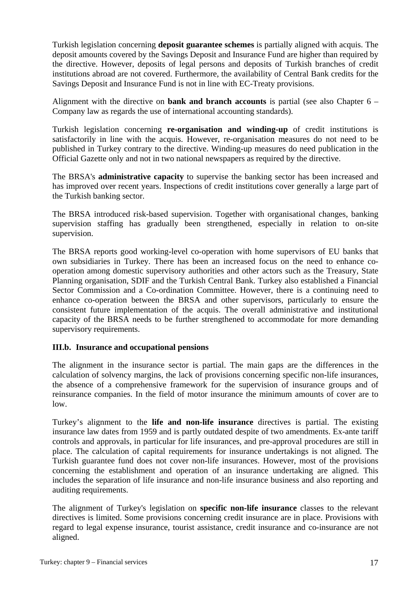Turkish legislation concerning **deposit guarantee schemes** is partially aligned with acquis. The deposit amounts covered by the Savings Deposit and Insurance Fund are higher than required by the directive. However, deposits of legal persons and deposits of Turkish branches of credit institutions abroad are not covered. Furthermore, the availability of Central Bank credits for the Savings Deposit and Insurance Fund is not in line with EC-Treaty provisions.

Alignment with the directive on **bank and branch accounts** is partial (see also Chapter 6 – Company law as regards the use of international accounting standards).

Turkish legislation concerning **re-organisation and winding-up** of credit institutions is satisfactorily in line with the acquis. However, re-organisation measures do not need to be published in Turkey contrary to the directive. Winding-up measures do need publication in the Official Gazette only and not in two national newspapers as required by the directive.

The BRSA's **administrative capacity** to supervise the banking sector has been increased and has improved over recent years. Inspections of credit institutions cover generally a large part of the Turkish banking sector.

The BRSA introduced risk-based supervision. Together with organisational changes, banking supervision staffing has gradually been strengthened, especially in relation to on-site supervision.

The BRSA reports good working-level co-operation with home supervisors of EU banks that own subsidiaries in Turkey. There has been an increased focus on the need to enhance cooperation among domestic supervisory authorities and other actors such as the Treasury, State Planning organisation, SDIF and the Turkish Central Bank. Turkey also established a Financial Sector Commission and a Co-ordination Committee. However, there is a continuing need to enhance co-operation between the BRSA and other supervisors, particularly to ensure the consistent future implementation of the acquis. The overall administrative and institutional capacity of the BRSA needs to be further strengthened to accommodate for more demanding supervisory requirements.

## **III.b. Insurance and occupational pensions**

The alignment in the insurance sector is partial. The main gaps are the differences in the calculation of solvency margins, the lack of provisions concerning specific non-life insurances, the absence of a comprehensive framework for the supervision of insurance groups and of reinsurance companies. In the field of motor insurance the minimum amounts of cover are to low.

Turkey's alignment to the **life and non-life insurance** directives is partial. The existing insurance law dates from 1959 and is partly outdated despite of two amendments. Ex-ante tariff controls and approvals, in particular for life insurances, and pre-approval procedures are still in place. The calculation of capital requirements for insurance undertakings is not aligned. The Turkish guarantee fund does not cover non-life insurances. However, most of the provisions concerning the establishment and operation of an insurance undertaking are aligned. This includes the separation of life insurance and non-life insurance business and also reporting and auditing requirements.

The alignment of Turkey's legislation on **specific non-life insurance** classes to the relevant directives is limited. Some provisions concerning credit insurance are in place. Provisions with regard to legal expense insurance, tourist assistance, credit insurance and co-insurance are not aligned.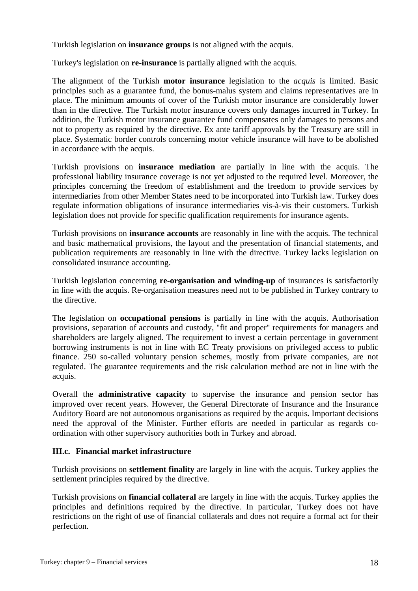Turkish legislation on **insurance groups** is not aligned with the acquis.

Turkey's legislation on **re-insurance** is partially aligned with the acquis.

The alignment of the Turkish **motor insurance** legislation to the *acquis* is limited. Basic principles such as a guarantee fund, the bonus-malus system and claims representatives are in place. The minimum amounts of cover of the Turkish motor insurance are considerably lower than in the directive. The Turkish motor insurance covers only damages incurred in Turkey. In addition, the Turkish motor insurance guarantee fund compensates only damages to persons and not to property as required by the directive. Ex ante tariff approvals by the Treasury are still in place. Systematic border controls concerning motor vehicle insurance will have to be abolished in accordance with the acquis.

Turkish provisions on **insurance mediation** are partially in line with the acquis. The professional liability insurance coverage is not yet adjusted to the required level. Moreover, the principles concerning the freedom of establishment and the freedom to provide services by intermediaries from other Member States need to be incorporated into Turkish law. Turkey does regulate information obligations of insurance intermediaries vis-à-vis their customers. Turkish legislation does not provide for specific qualification requirements for insurance agents.

Turkish provisions on **insurance accounts** are reasonably in line with the acquis. The technical and basic mathematical provisions, the layout and the presentation of financial statements, and publication requirements are reasonably in line with the directive. Turkey lacks legislation on consolidated insurance accounting.

Turkish legislation concerning **re-organisation and winding-up** of insurances is satisfactorily in line with the acquis. Re-organisation measures need not to be published in Turkey contrary to the directive.

The legislation on **occupational pensions** is partially in line with the acquis. Authorisation provisions, separation of accounts and custody, "fit and proper" requirements for managers and shareholders are largely aligned. The requirement to invest a certain percentage in government borrowing instruments is not in line with EC Treaty provisions on privileged access to public finance. 250 so-called voluntary pension schemes, mostly from private companies, are not regulated. The guarantee requirements and the risk calculation method are not in line with the acquis.

Overall the **administrative capacity** to supervise the insurance and pension sector has improved over recent years. However, the General Directorate of Insurance and the Insurance Auditory Board are not autonomous organisations as required by the acquis**.** Important decisions need the approval of the Minister. Further efforts are needed in particular as regards coordination with other supervisory authorities both in Turkey and abroad.

#### **III.c. Financial market infrastructure**

Turkish provisions on **settlement finality** are largely in line with the acquis. Turkey applies the settlement principles required by the directive.

Turkish provisions on **financial collateral** are largely in line with the acquis. Turkey applies the principles and definitions required by the directive. In particular, Turkey does not have restrictions on the right of use of financial collaterals and does not require a formal act for their perfection.